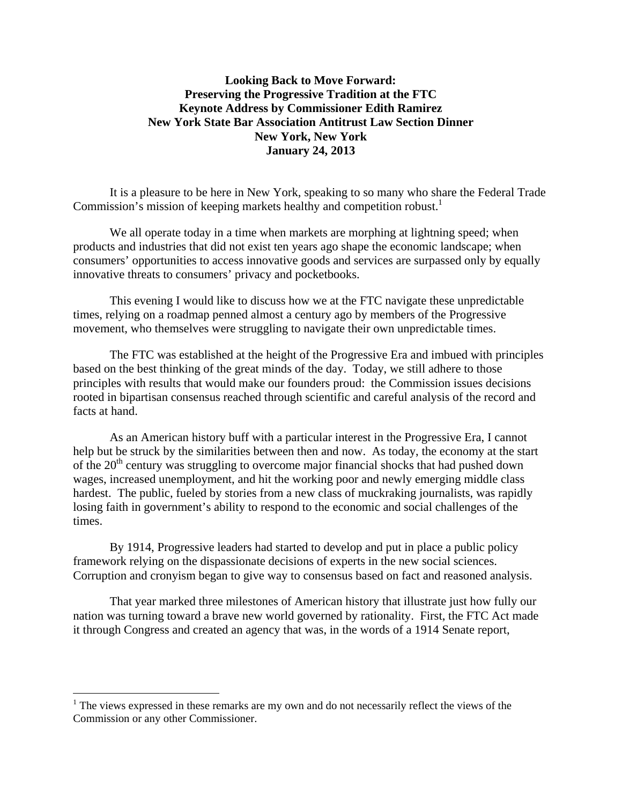## **Looking Back to Move Forward: Preserving the Progressive Tradition at the FTC Keynote Address by Commissioner Edith Ramirez New York State Bar Association Antitrust Law Section Dinner New York, New York January 24, 2013**

It is a pleasure to be here in New York, speaking to so many who share the Federal Trade Commission's mission of keeping markets healthy and competition robust.<sup>1</sup>

We all operate today in a time when markets are morphing at lightning speed; when products and industries that did not exist ten years ago shape the economic landscape; when consumers' opportunities to access innovative goods and services are surpassed only by equally innovative threats to consumers' privacy and pocketbooks.

This evening I would like to discuss how we at the FTC navigate these unpredictable times, relying on a roadmap penned almost a century ago by members of the Progressive movement, who themselves were struggling to navigate their own unpredictable times.

The FTC was established at the height of the Progressive Era and imbued with principles based on the best thinking of the great minds of the day. Today, we still adhere to those principles with results that would make our founders proud: the Commission issues decisions rooted in bipartisan consensus reached through scientific and careful analysis of the record and facts at hand.

As an American history buff with a particular interest in the Progressive Era, I cannot help but be struck by the similarities between then and now. As today, the economy at the start of the  $20<sup>th</sup>$  century was struggling to overcome major financial shocks that had pushed down wages, increased unemployment, and hit the working poor and newly emerging middle class hardest. The public, fueled by stories from a new class of muckraking journalists, was rapidly losing faith in government's ability to respond to the economic and social challenges of the times.

By 1914, Progressive leaders had started to develop and put in place a public policy framework relying on the dispassionate decisions of experts in the new social sciences. Corruption and cronyism began to give way to consensus based on fact and reasoned analysis.

 That year marked three milestones of American history that illustrate just how fully our nation was turning toward a brave new world governed by rationality. First, the FTC Act made it through Congress and created an agency that was, in the words of a 1914 Senate report,

 $\overline{a}$ 

 $1$  The views expressed in these remarks are my own and do not necessarily reflect the views of the Commission or any other Commissioner.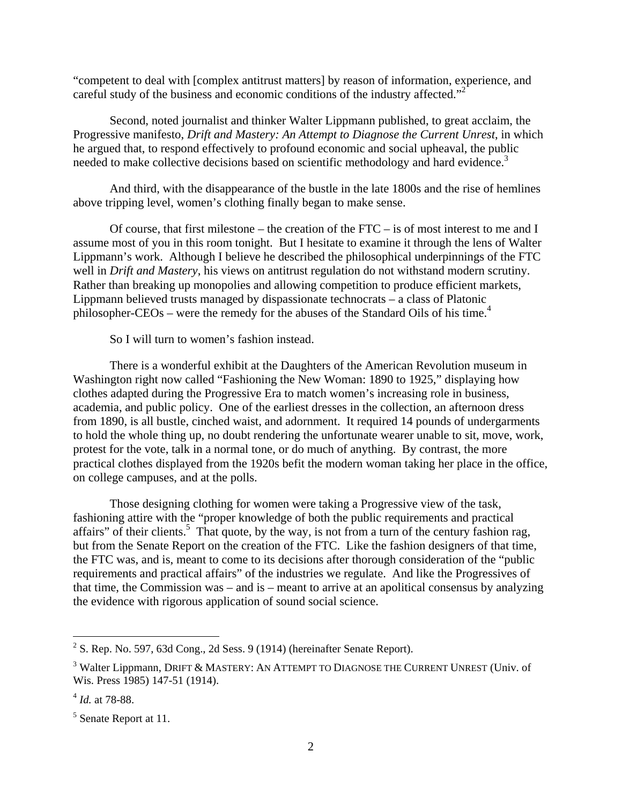"competent to deal with [complex antitrust matters] by reason of information, experience, and careful study of the business and economic conditions of the industry affected."<sup>2</sup>

Second, noted journalist and thinker Walter Lippmann published, to great acclaim, the Progressive manifesto, *Drift and Mastery: An Attempt to Diagnose the Current Unrest*, in which he argued that, to respond effectively to profound economic and social upheaval, the public needed to make collective decisions based on scientific methodology and hard evidence.<sup>3</sup>

And third, with the disappearance of the bustle in the late 1800s and the rise of hemlines above tripping level, women's clothing finally began to make sense.

Of course, that first milestone – the creation of the FTC – is of most interest to me and I assume most of you in this room tonight. But I hesitate to examine it through the lens of Walter Lippmann's work. Although I believe he described the philosophical underpinnings of the FTC well in *Drift and Mastery*, his views on antitrust regulation do not withstand modern scrutiny. Rather than breaking up monopolies and allowing competition to produce efficient markets, Lippmann believed trusts managed by dispassionate technocrats – a class of Platonic philosopher-CEOs – were the remedy for the abuses of the Standard Oils of his time.<sup>4</sup>

So I will turn to women's fashion instead.

There is a wonderful exhibit at the Daughters of the American Revolution museum in Washington right now called "Fashioning the New Woman: 1890 to 1925," displaying how clothes adapted during the Progressive Era to match women's increasing role in business, academia, and public policy. One of the earliest dresses in the collection, an afternoon dress from 1890, is all bustle, cinched waist, and adornment. It required 14 pounds of undergarments to hold the whole thing up, no doubt rendering the unfortunate wearer unable to sit, move, work, protest for the vote, talk in a normal tone, or do much of anything. By contrast, the more practical clothes displayed from the 1920s befit the modern woman taking her place in the office, on college campuses, and at the polls.

 Those designing clothing for women were taking a Progressive view of the task, fashioning attire with the "proper knowledge of both the public requirements and practical affairs" of their clients.<sup>5</sup> That quote, by the way, is not from a turn of the century fashion rag, but from the Senate Report on the creation of the FTC. Like the fashion designers of that time, the FTC was, and is, meant to come to its decisions after thorough consideration of the "public requirements and practical affairs" of the industries we regulate. And like the Progressives of that time, the Commission was – and is – meant to arrive at an apolitical consensus by analyzing the evidence with rigorous application of sound social science.

 2 S. Rep. No. 597, 63d Cong., 2d Sess. 9 (1914) (hereinafter Senate Report).

 $3$  Walter Lippmann, DRIFT & MASTERY: AN ATTEMPT TO DIAGNOSE THE CURRENT UNREST (Univ. of Wis. Press 1985) 147-51 (1914).

<sup>4</sup> *Id.* at 78-88.

<sup>&</sup>lt;sup>5</sup> Senate Report at 11.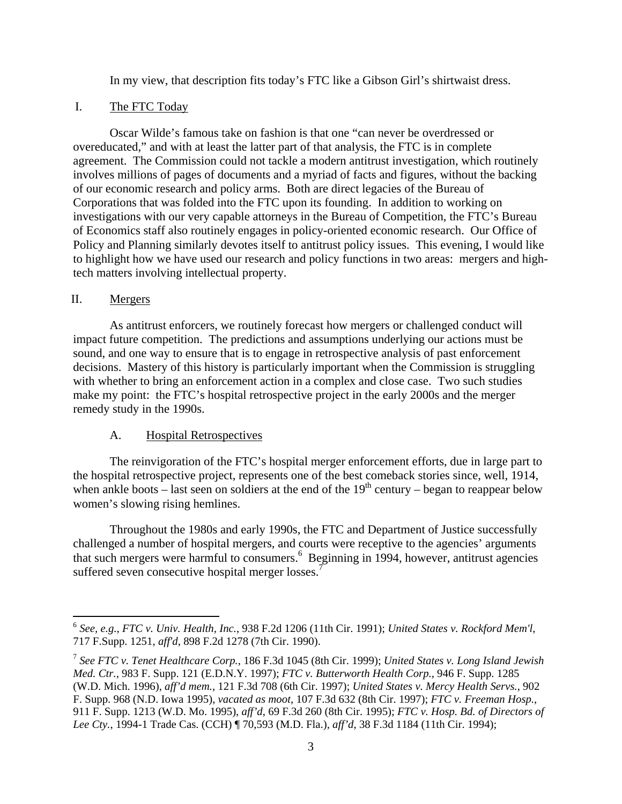In my view, that description fits today's FTC like a Gibson Girl's shirtwaist dress.

## I. The FTC Today

 Oscar Wilde's famous take on fashion is that one "can never be overdressed or overeducated," and with at least the latter part of that analysis, the FTC is in complete agreement. The Commission could not tackle a modern antitrust investigation, which routinely involves millions of pages of documents and a myriad of facts and figures, without the backing of our economic research and policy arms. Both are direct legacies of the Bureau of Corporations that was folded into the FTC upon its founding. In addition to working on investigations with our very capable attorneys in the Bureau of Competition, the FTC's Bureau of Economics staff also routinely engages in policy-oriented economic research. Our Office of Policy and Planning similarly devotes itself to antitrust policy issues. This evening, I would like to highlight how we have used our research and policy functions in two areas: mergers and hightech matters involving intellectual property.

### II. Mergers

 $\overline{a}$ 

As antitrust enforcers, we routinely forecast how mergers or challenged conduct will impact future competition. The predictions and assumptions underlying our actions must be sound, and one way to ensure that is to engage in retrospective analysis of past enforcement decisions. Mastery of this history is particularly important when the Commission is struggling with whether to bring an enforcement action in a complex and close case. Two such studies make my point: the FTC's hospital retrospective project in the early 2000s and the merger remedy study in the 1990s.

# A. Hospital Retrospectives

The reinvigoration of the FTC's hospital merger enforcement efforts, due in large part to the hospital retrospective project, represents one of the best comeback stories since, well, 1914, when ankle boots – last seen on soldiers at the end of the  $19<sup>th</sup>$  century – began to reappear below women's slowing rising hemlines.

Throughout the 1980s and early 1990s, the FTC and Department of Justice successfully challenged a number of hospital mergers, and courts were receptive to the agencies' arguments that such mergers were harmful to consumers.<sup>6</sup> Beginning in 1994, however, antitrust agencies suffered seven consecutive hospital merger losses.<sup>7</sup>

<sup>6</sup> *See, e.g., FTC v. Univ. Health, Inc.*, 938 F.2d 1206 (11th Cir. 1991); *United States v. Rockford Mem'l*, 717 F.Supp. 1251, *aff'd*, 898 F.2d 1278 (7th Cir. 1990).

<sup>7</sup> *See FTC v. Tenet Healthcare Corp.*, 186 F.3d 1045 (8th Cir. 1999); *United States v. Long Island Jewish Med. Ctr.,* 983 F. Supp. 121 (E.D.N.Y. 1997); *FTC v. Butterworth Health Corp.*, 946 F. Supp. 1285 (W.D. Mich. 1996), *aff'd mem.*, 121 F.3d 708 (6th Cir. 1997); *United States v. Mercy Health Servs.*, 902 F. Supp. 968 (N.D. Iowa 1995), *vacated as moot*, 107 F.3d 632 (8th Cir. 1997); *FTC v. Freeman Hosp.,*  911 F. Supp. 1213 (W.D. Mo. 1995), *aff'd*, 69 F.3d 260 (8th Cir. 1995); *FTC v. Hosp. Bd. of Directors of Lee Cty.*, 1994-1 Trade Cas. (CCH) ¶ 70,593 (M.D. Fla.)*, aff'd*, 38 F.3d 1184 (11th Cir. 1994);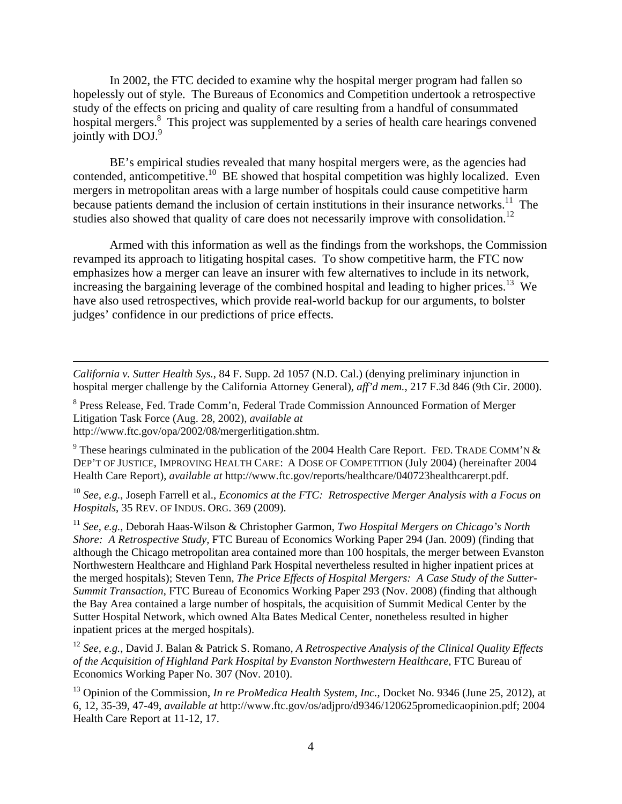In 2002, the FTC decided to examine why the hospital merger program had fallen so hopelessly out of style. The Bureaus of Economics and Competition undertook a retrospective study of the effects on pricing and quality of care resulting from a handful of consummated hospital mergers.<sup>8</sup> This project was supplemented by a series of health care hearings convened jointly with DOJ.<sup>9</sup>

BE's empirical studies revealed that many hospital mergers were, as the agencies had contended, anticompetitive.<sup>10</sup> BE showed that hospital competition was highly localized. Even mergers in metropolitan areas with a large number of hospitals could cause competitive harm because patients demand the inclusion of certain institutions in their insurance networks.<sup>11</sup> The studies also showed that quality of care does not necessarily improve with consolidation.<sup>12</sup>

Armed with this information as well as the findings from the workshops, the Commission revamped its approach to litigating hospital cases. To show competitive harm, the FTC now emphasizes how a merger can leave an insurer with few alternatives to include in its network, increasing the bargaining leverage of the combined hospital and leading to higher prices.<sup>13</sup> We have also used retrospectives, which provide real-world backup for our arguments, to bolster judges' confidence in our predictions of price effects.

*California v. Sutter Health Sys.*, 84 F. Supp. 2d 1057 (N.D. Cal.) (denying preliminary injunction in hospital merger challenge by the California Attorney General), *aff'd mem.*, 217 F.3d 846 (9th Cir. 2000).

<sup>8</sup> Press Release, Fed. Trade Comm'n, Federal Trade Commission Announced Formation of Merger Litigation Task Force (Aug. 28, 2002), *available at* 

http://www.ftc.gov/opa/2002/08/mergerlitigation.shtm.

1

<sup>9</sup> These hearings culminated in the publication of the 2004 Health Care Report. FED. TRADE COMM'N & DEP'T OF JUSTICE, IMPROVING HEALTH CARE: A DOSE OF COMPETITION (July 2004) (hereinafter 2004 Health Care Report), *available at* http://www.ftc.gov/reports/healthcare/040723healthcarerpt.pdf.

<sup>10</sup> *See, e.g.*, Joseph Farrell et al., *Economics at the FTC: Retrospective Merger Analysis with a Focus on Hospitals*, 35 REV. OF INDUS. ORG. 369 (2009).

<sup>11</sup> *See, e.g.*, Deborah Haas-Wilson & Christopher Garmon, *Two Hospital Mergers on Chicago's North Shore: A Retrospective Study,* FTC Bureau of Economics Working Paper 294 (Jan. 2009) (finding that although the Chicago metropolitan area contained more than 100 hospitals, the merger between Evanston Northwestern Healthcare and Highland Park Hospital nevertheless resulted in higher inpatient prices at the merged hospitals); Steven Tenn, *The Price Effects of Hospital Mergers: A Case Study of the Sutter-Summit Transaction*, FTC Bureau of Economics Working Paper 293 (Nov. 2008) (finding that although the Bay Area contained a large number of hospitals, the acquisition of Summit Medical Center by the Sutter Hospital Network, which owned Alta Bates Medical Center, nonetheless resulted in higher inpatient prices at the merged hospitals).

<sup>12</sup> *See, e.g.,* David J. Balan & Patrick S. Romano, *A Retrospective Analysis of the Clinical Quality Effects of the Acquisition of Highland Park Hospital by Evanston Northwestern Healthcare*, FTC Bureau of Economics Working Paper No. 307 (Nov. 2010).

13 Opinion of the Commission, *In re ProMedica Health System, Inc.,* Docket No. 9346 (June 25, 2012), at 6, 12, 35-39, 47-49, *available at* http://www.ftc.gov/os/adjpro/d9346/120625promedicaopinion.pdf; 2004 Health Care Report at 11-12, 17.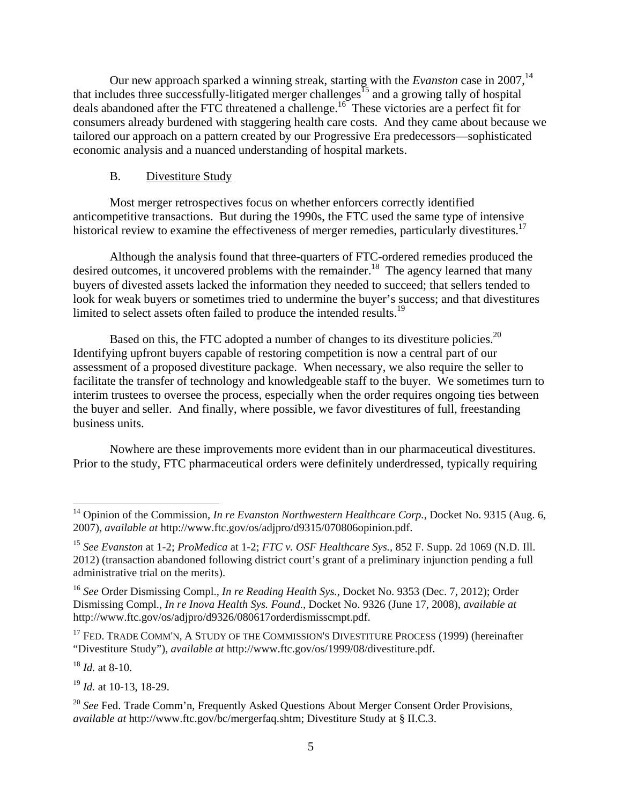Our new approach sparked a winning streak, starting with the *Evanston* case in 2007,<sup>14</sup> that includes three successfully-litigated merger challenges<sup>15</sup> and a growing tally of hospital deals abandoned after the FTC threatened a challenge.16 These victories are a perfect fit for consumers already burdened with staggering health care costs. And they came about because we tailored our approach on a pattern created by our Progressive Era predecessors—sophisticated economic analysis and a nuanced understanding of hospital markets.

### B. Divestiture Study

Most merger retrospectives focus on whether enforcers correctly identified anticompetitive transactions. But during the 1990s, the FTC used the same type of intensive historical review to examine the effectiveness of merger remedies, particularly divestitures.<sup>17</sup>

Although the analysis found that three-quarters of FTC-ordered remedies produced the desired outcomes, it uncovered problems with the remainder.<sup>18</sup> The agency learned that many buyers of divested assets lacked the information they needed to succeed; that sellers tended to look for weak buyers or sometimes tried to undermine the buyer's success; and that divestitures limited to select assets often failed to produce the intended results.<sup>19</sup>

Based on this, the FTC adopted a number of changes to its divestiture policies.<sup>20</sup> Identifying upfront buyers capable of restoring competition is now a central part of our assessment of a proposed divestiture package. When necessary, we also require the seller to facilitate the transfer of technology and knowledgeable staff to the buyer. We sometimes turn to interim trustees to oversee the process, especially when the order requires ongoing ties between the buyer and seller. And finally, where possible, we favor divestitures of full, freestanding business units.

Nowhere are these improvements more evident than in our pharmaceutical divestitures. Prior to the study, FTC pharmaceutical orders were definitely underdressed, typically requiring

<sup>18</sup> *Id.* at 8-10.

1

<sup>19</sup> *Id.* at 10-13, 18-29.

<sup>&</sup>lt;sup>14</sup> Opinion of the Commission, *In re Evanston Northwestern Healthcare Corp.*, Docket No. 9315 (Aug. 6, 2007), *available at* http://www.ftc.gov/os/adjpro/d9315/070806opinion.pdf.

<sup>15</sup> *See Evanston* at 1-2; *ProMedica* at 1-2; *FTC v. OSF Healthcare Sys.*, 852 F. Supp. 2d 1069 (N.D. Ill. 2012) (transaction abandoned following district court's grant of a preliminary injunction pending a full administrative trial on the merits).

<sup>16</sup> *See* Order Dismissing Compl., *In re Reading Health Sys.*, Docket No. 9353 (Dec. 7, 2012); Order Dismissing Compl., *In re Inova Health Sys. Found.*, Docket No. 9326 (June 17, 2008), *available at*  http://www.ftc.gov/os/adjpro/d9326/080617orderdismisscmpt.pdf.

<sup>&</sup>lt;sup>17</sup> FED. TRADE COMM'N, A STUDY OF THE COMMISSION'S DIVESTITURE PROCESS (1999) (hereinafter "Divestiture Study"), *available at* http://www.ftc.gov/os/1999/08/divestiture.pdf.

<sup>&</sup>lt;sup>20</sup> See Fed. Trade Comm'n, Frequently Asked Questions About Merger Consent Order Provisions, *available at* http://www.ftc.gov/bc/mergerfaq.shtm; Divestiture Study at § II.C.3.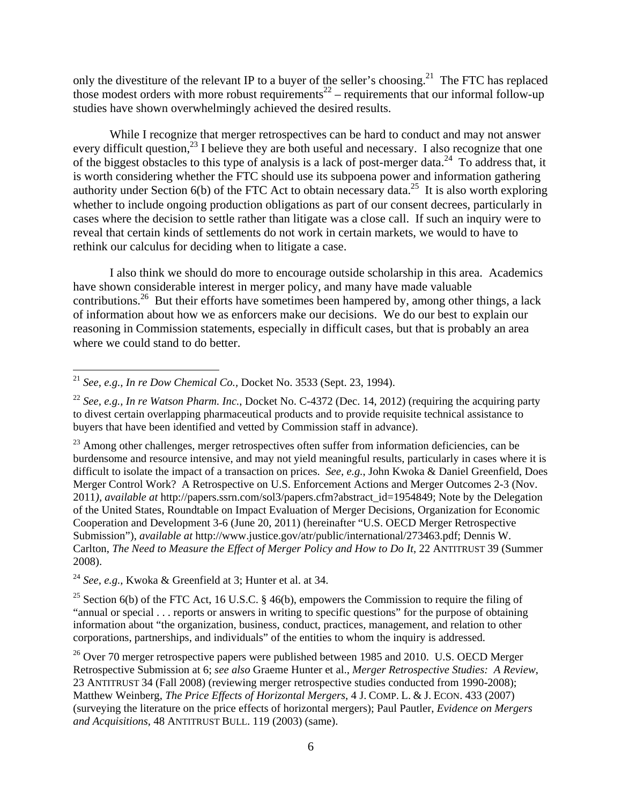only the divestiture of the relevant IP to a buyer of the seller's choosing.<sup>21</sup> The FTC has replaced those modest orders with more robust requirements<sup>22</sup> – requirements that our informal follow-up studies have shown overwhelmingly achieved the desired results.

While I recognize that merger retrospectives can be hard to conduct and may not answer every difficult question,<sup>23</sup> I believe they are both useful and necessary. I also recognize that one of the biggest obstacles to this type of analysis is a lack of post-merger data.<sup>24</sup> To address that, it is worth considering whether the FTC should use its subpoena power and information gathering authority under Section 6(b) of the FTC Act to obtain necessary data.<sup>25</sup> It is also worth exploring whether to include ongoing production obligations as part of our consent decrees, particularly in cases where the decision to settle rather than litigate was a close call. If such an inquiry were to reveal that certain kinds of settlements do not work in certain markets, we would to have to rethink our calculus for deciding when to litigate a case.

I also think we should do more to encourage outside scholarship in this area. Academics have shown considerable interest in merger policy, and many have made valuable contributions.<sup>26</sup> But their efforts have sometimes been hampered by, among other things, a lack of information about how we as enforcers make our decisions. We do our best to explain our reasoning in Commission statements, especially in difficult cases, but that is probably an area where we could stand to do better.

 $\overline{a}$ 

<sup>24</sup> *See, e.g.,* Kwoka & Greenfield at 3; Hunter et al. at 34.

<sup>25</sup> Section 6(b) of the FTC Act, 16 U.S.C. § 46(b), empowers the Commission to require the filing of "annual or special . . . reports or answers in writing to specific questions" for the purpose of obtaining information about "the organization, business, conduct, practices, management, and relation to other corporations, partnerships, and individuals" of the entities to whom the inquiry is addressed.

 $^{26}$  Over 70 merger retrospective papers were published between 1985 and 2010. U.S. OECD Merger Retrospective Submission at 6; *see also* Graeme Hunter et al., *Merger Retrospective Studies: A Review*, 23 ANTITRUST 34 (Fall 2008) (reviewing merger retrospective studies conducted from 1990-2008); Matthew Weinberg, *The Price Effects of Horizontal Mergers*, 4 J. COMP. L. & J. ECON. 433 (2007) (surveying the literature on the price effects of horizontal mergers); Paul Pautler, *Evidence on Mergers and Acquisitions*, 48 ANTITRUST BULL. 119 (2003) (same).

<sup>21</sup> *See, e.g., In re Dow Chemical Co.,* Docket No. 3533 (Sept. 23, 1994).

<sup>&</sup>lt;sup>22</sup> *See, e.g., In re Watson Pharm. Inc., Docket No. C-4372 (Dec. 14, 2012) (requiring the acquiring party* to divest certain overlapping pharmaceutical products and to provide requisite technical assistance to buyers that have been identified and vetted by Commission staff in advance).

<sup>&</sup>lt;sup>23</sup> Among other challenges, merger retrospectives often suffer from information deficiencies, can be burdensome and resource intensive, and may not yield meaningful results, particularly in cases where it is difficult to isolate the impact of a transaction on prices. *See, e.g.*, John Kwoka & Daniel Greenfield, Does Merger Control Work? A Retrospective on U.S. Enforcement Actions and Merger Outcomes 2-3 (Nov. 2011*), available at* http://papers.ssrn.com/sol3/papers.cfm?abstract\_id=1954849; Note by the Delegation of the United States, Roundtable on Impact Evaluation of Merger Decisions, Organization for Economic Cooperation and Development 3-6 (June 20, 2011) (hereinafter "U.S. OECD Merger Retrospective Submission"), *available at* http://www.justice.gov/atr/public/international/273463.pdf; Dennis W. Carlton, *The Need to Measure the Effect of Merger Policy and How to Do It*, 22 ANTITRUST 39 (Summer 2008).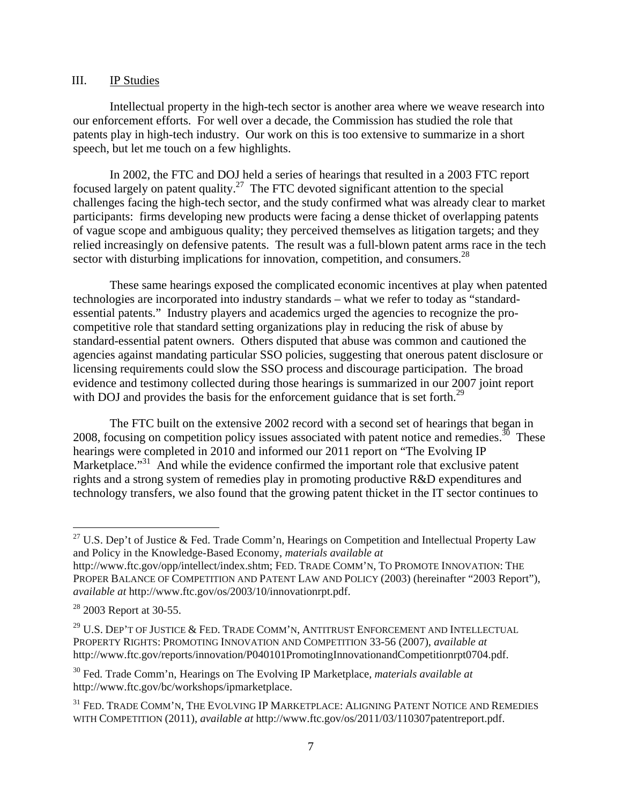### III. IP Studies

 Intellectual property in the high-tech sector is another area where we weave research into our enforcement efforts. For well over a decade, the Commission has studied the role that patents play in high-tech industry. Our work on this is too extensive to summarize in a short speech, but let me touch on a few highlights.

In 2002, the FTC and DOJ held a series of hearings that resulted in a 2003 FTC report focused largely on patent quality.<sup>27</sup> The FTC devoted significant attention to the special challenges facing the high-tech sector, and the study confirmed what was already clear to market participants: firms developing new products were facing a dense thicket of overlapping patents of vague scope and ambiguous quality; they perceived themselves as litigation targets; and they relied increasingly on defensive patents. The result was a full-blown patent arms race in the tech sector with disturbing implications for innovation, competition, and consumers.<sup>28</sup>

These same hearings exposed the complicated economic incentives at play when patented technologies are incorporated into industry standards – what we refer to today as "standardessential patents." Industry players and academics urged the agencies to recognize the procompetitive role that standard setting organizations play in reducing the risk of abuse by standard-essential patent owners. Others disputed that abuse was common and cautioned the agencies against mandating particular SSO policies, suggesting that onerous patent disclosure or licensing requirements could slow the SSO process and discourage participation. The broad evidence and testimony collected during those hearings is summarized in our 2007 joint report with DOJ and provides the basis for the enforcement guidance that is set forth.<sup>29</sup>

The FTC built on the extensive 2002 record with a second set of hearings that began in 2008, focusing on competition policy issues associated with patent notice and remedies.<sup>30</sup> These hearings were completed in 2010 and informed our 2011 report on "The Evolving IP Marketplace.<sup>"31</sup> And while the evidence confirmed the important role that exclusive patent rights and a strong system of remedies play in promoting productive R&D expenditures and technology transfers, we also found that the growing patent thicket in the IT sector continues to

 $\overline{a}$ 

<sup>&</sup>lt;sup>27</sup> U.S. Dep't of Justice & Fed. Trade Comm'n, Hearings on Competition and Intellectual Property Law and Policy in the Knowledge-Based Economy, *materials available at*  http://www.ftc.gov/opp/intellect/index.shtm; FED. TRADE COMM'N, TO PROMOTE INNOVATION: THE PROPER BALANCE OF COMPETITION AND PATENT LAW AND POLICY (2003) (hereinafter "2003 Report"), *available at* http://www.ftc.gov/os/2003/10/innovationrpt.pdf.

<sup>&</sup>lt;sup>28</sup> 2003 Report at 30-55.

<sup>&</sup>lt;sup>29</sup> U.S. DEP'T OF JUSTICE & FED. TRADE COMM'N, ANTITRUST ENFORCEMENT AND INTELLECTUAL PROPERTY RIGHTS: PROMOTING INNOVATION AND COMPETITION 33-56 (2007), *available at*  http://www.ftc.gov/reports/innovation/P040101PromotingInnovationandCompetitionrpt0704.pdf.

<sup>30</sup> Fed. Trade Comm'n, Hearings on The Evolving IP Marketplace, *materials available at*  http://www.ftc.gov/bc/workshops/ipmarketplace.

 $^{31}$  Fed. Trade Comm'n, The Evolving IP Marketplace: Aligning Patent Notice and Remedies WITH COMPETITION (2011), *available at* http://www.ftc.gov/os/2011/03/110307patentreport.pdf.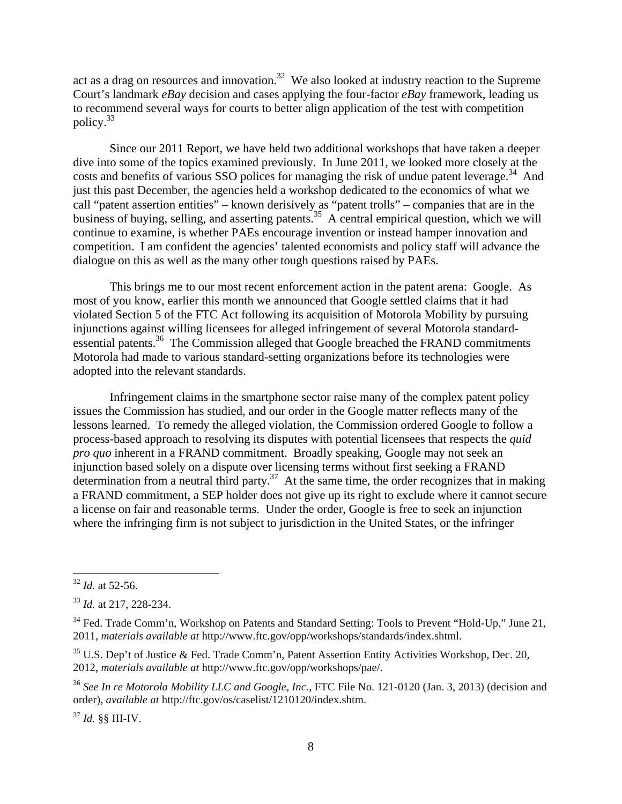act as a drag on resources and innovation.<sup>32</sup> We also looked at industry reaction to the Supreme Court's landmark *eBay* decision and cases applying the four-factor *eBay* framework, leading us to recommend several ways for courts to better align application of the test with competition policy.33

Since our 2011 Report, we have held two additional workshops that have taken a deeper dive into some of the topics examined previously. In June 2011, we looked more closely at the costs and benefits of various SSO polices for managing the risk of undue patent leverage.<sup>34</sup> And just this past December, the agencies held a workshop dedicated to the economics of what we call "patent assertion entities" – known derisively as "patent trolls" – companies that are in the business of buying, selling, and asserting patents.<sup>35</sup> A central empirical question, which we will continue to examine, is whether PAEs encourage invention or instead hamper innovation and competition. I am confident the agencies' talented economists and policy staff will advance the dialogue on this as well as the many other tough questions raised by PAEs.

This brings me to our most recent enforcement action in the patent arena: Google. As most of you know, earlier this month we announced that Google settled claims that it had violated Section 5 of the FTC Act following its acquisition of Motorola Mobility by pursuing injunctions against willing licensees for alleged infringement of several Motorola standardessential patents.<sup>36</sup> The Commission alleged that Google breached the FRAND commitments Motorola had made to various standard-setting organizations before its technologies were adopted into the relevant standards.

Infringement claims in the smartphone sector raise many of the complex patent policy issues the Commission has studied, and our order in the Google matter reflects many of the lessons learned. To remedy the alleged violation, the Commission ordered Google to follow a process-based approach to resolving its disputes with potential licensees that respects the *quid pro quo* inherent in a FRAND commitment. Broadly speaking, Google may not seek an injunction based solely on a dispute over licensing terms without first seeking a FRAND determination from a neutral third party.<sup>37</sup> At the same time, the order recognizes that in making a FRAND commitment, a SEP holder does not give up its right to exclude where it cannot secure a license on fair and reasonable terms. Under the order, Google is free to seek an injunction where the infringing firm is not subject to jurisdiction in the United States, or the infringer

 $\overline{a}$ 

<sup>37</sup> *Id.* §§ III-IV.

<sup>32</sup> *Id.* at 52-56.

<sup>33</sup> *Id.* at 217, 228-234.

<sup>&</sup>lt;sup>34</sup> Fed. Trade Comm'n, Workshop on Patents and Standard Setting: Tools to Prevent "Hold-Up," June 21, 2011, *materials available at* http://www.ftc.gov/opp/workshops/standards/index.shtml.

 $35$  U.S. Dep't of Justice & Fed. Trade Comm'n, Patent Assertion Entity Activities Workshop, Dec. 20, 2012, *materials available at* http://www.ftc.gov/opp/workshops/pae/.

<sup>36</sup> *See In re Motorola Mobility LLC and Google, Inc.*, FTC File No. 121-0120 (Jan. 3, 2013) (decision and order), *available at* http://ftc.gov/os/caselist/1210120/index.shtm.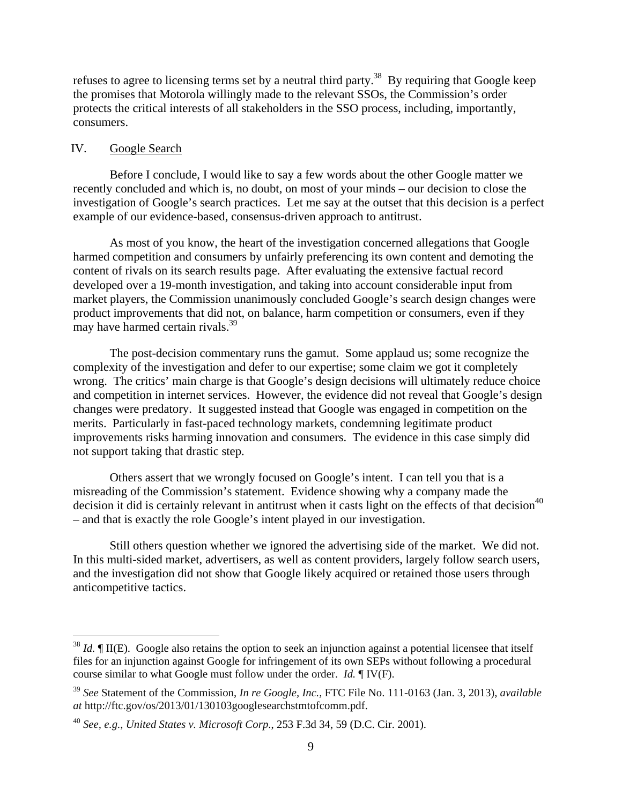refuses to agree to licensing terms set by a neutral third party.<sup>38</sup> By requiring that Google keep the promises that Motorola willingly made to the relevant SSOs, the Commission's order protects the critical interests of all stakeholders in the SSO process, including, importantly, consumers.

### IV. Google Search

 $\overline{a}$ 

Before I conclude, I would like to say a few words about the other Google matter we recently concluded and which is, no doubt, on most of your minds – our decision to close the investigation of Google's search practices. Let me say at the outset that this decision is a perfect example of our evidence-based, consensus-driven approach to antitrust.

As most of you know, the heart of the investigation concerned allegations that Google harmed competition and consumers by unfairly preferencing its own content and demoting the content of rivals on its search results page. After evaluating the extensive factual record developed over a 19-month investigation, and taking into account considerable input from market players, the Commission unanimously concluded Google's search design changes were product improvements that did not, on balance, harm competition or consumers, even if they may have harmed certain rivals.<sup>39</sup>

The post-decision commentary runs the gamut. Some applaud us; some recognize the complexity of the investigation and defer to our expertise; some claim we got it completely wrong. The critics' main charge is that Google's design decisions will ultimately reduce choice and competition in internet services. However, the evidence did not reveal that Google's design changes were predatory. It suggested instead that Google was engaged in competition on the merits. Particularly in fast-paced technology markets, condemning legitimate product improvements risks harming innovation and consumers. The evidence in this case simply did not support taking that drastic step.

Others assert that we wrongly focused on Google's intent. I can tell you that is a misreading of the Commission's statement. Evidence showing why a company made the decision it did is certainly relevant in antitrust when it casts light on the effects of that decision<sup>40</sup> – and that is exactly the role Google's intent played in our investigation.

Still others question whether we ignored the advertising side of the market. We did not. In this multi-sided market, advertisers, as well as content providers, largely follow search users, and the investigation did not show that Google likely acquired or retained those users through anticompetitive tactics.

<sup>&</sup>lt;sup>38</sup> *Id.* If II(E). Google also retains the option to seek an injunction against a potential licensee that itself files for an injunction against Google for infringement of its own SEPs without following a procedural course similar to what Google must follow under the order. *Id.* ¶ IV(F).

<sup>39</sup> *See* Statement of the Commission, *In re Google, Inc.,* FTC File No. 111-0163 (Jan. 3, 2013), *available at* http://ftc.gov/os/2013/01/130103googlesearchstmtofcomm.pdf.

<sup>40</sup> *See, e.g.*, *United States v. Microsoft Corp*., 253 F.3d 34, 59 (D.C. Cir. 2001).